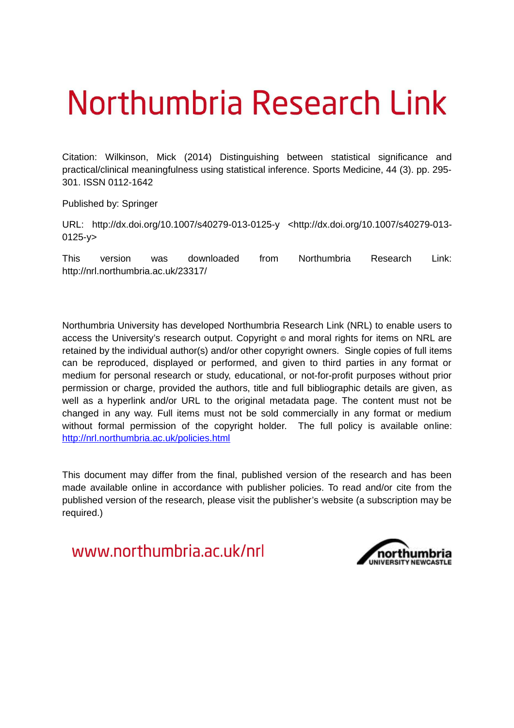# Northumbria Research Link

Citation: Wilkinson, Mick (2014) Distinguishing between statistical significance and practical/clinical meaningfulness using statistical inference. Sports Medicine, 44 (3). pp. 295- 301. ISSN 0112-1642

Published by: Springer

URL: http://dx.doi.org/10.1007/s40279-013-0125-y <http://dx.doi.org/10.1007/s40279-013- 0125-y>

This version was downloaded from Northumbria Research Link: http://nrl.northumbria.ac.uk/23317/

Northumbria University has developed Northumbria Research Link (NRL) to enable users to access the University's research output. Copyright  $\circ$  and moral rights for items on NRL are retained by the individual author(s) and/or other copyright owners. Single copies of full items can be reproduced, displayed or performed, and given to third parties in any format or medium for personal research or study, educational, or not-for-profit purposes without prior permission or charge, provided the authors, title and full bibliographic details are given, as well as a hyperlink and/or URL to the original metadata page. The content must not be changed in any way. Full items must not be sold commercially in any format or medium without formal permission of the copyright holder. The full policy is available online: <http://nrl.northumbria.ac.uk/policies.html>

This document may differ from the final, published version of the research and has been made available online in accordance with publisher policies. To read and/or cite from the published version of the research, please visit the publisher's website (a subscription may be required.)

www.northumbria.ac.uk/nrl

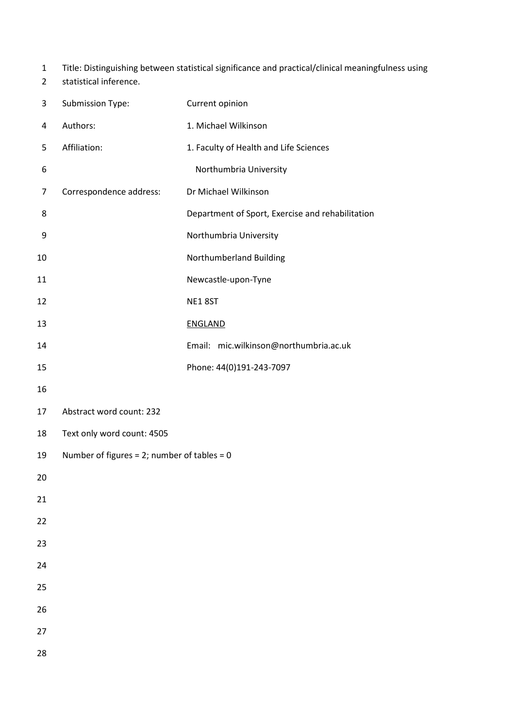- 1 Title: Distinguishing between statistical significance and practical/clinical meaningfulness using
- 2 statistical inference.

| 3  | Submission Type:                               | Current opinion                                  |
|----|------------------------------------------------|--------------------------------------------------|
| 4  | Authors:                                       | 1. Michael Wilkinson                             |
| 5  | Affiliation:                                   | 1. Faculty of Health and Life Sciences           |
| 6  |                                                | Northumbria University                           |
| 7  | Correspondence address:                        | Dr Michael Wilkinson                             |
| 8  |                                                | Department of Sport, Exercise and rehabilitation |
| 9  |                                                | Northumbria University                           |
| 10 |                                                | Northumberland Building                          |
| 11 |                                                | Newcastle-upon-Tyne                              |
| 12 |                                                | NE18ST                                           |
| 13 |                                                | <b>ENGLAND</b>                                   |
| 14 |                                                | Email: mic.wilkinson@northumbria.ac.uk           |
| 15 |                                                | Phone: 44(0)191-243-7097                         |
| 16 |                                                |                                                  |
| 17 | Abstract word count: 232                       |                                                  |
| 18 | Text only word count: 4505                     |                                                  |
| 19 | Number of figures = $2$ ; number of tables = 0 |                                                  |
| 20 |                                                |                                                  |
| 21 |                                                |                                                  |
| 22 |                                                |                                                  |
| 23 |                                                |                                                  |
| 24 |                                                |                                                  |
| 25 |                                                |                                                  |
| 26 |                                                |                                                  |
| 27 |                                                |                                                  |
| 28 |                                                |                                                  |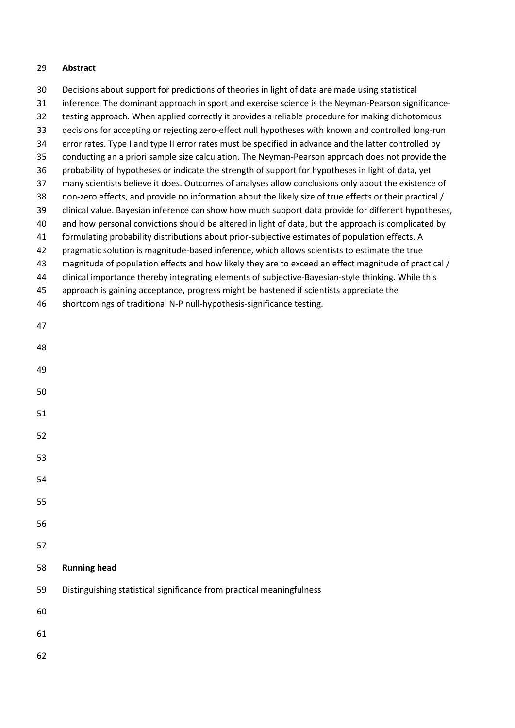## **Abstract**

 Decisions about support for predictions of theories in light of data are made using statistical inference. The dominant approach in sport and exercise science is the Neyman-Pearson significance- testing approach. When applied correctly it provides a reliable procedure for making dichotomous decisions for accepting or rejecting zero-effect null hypotheses with known and controlled long-run error rates. Type I and type II error rates must be specified in advance and the latter controlled by conducting an a priori sample size calculation. The Neyman-Pearson approach does not provide the probability of hypotheses or indicate the strength of support for hypotheses in light of data, yet many scientists believe it does. Outcomes of analyses allow conclusions only about the existence of non-zero effects, and provide no information about the likely size of true effects or their practical / clinical value. Bayesian inference can show how much support data provide for different hypotheses, and how personal convictions should be altered in light of data, but the approach is complicated by formulating probability distributions about prior-subjective estimates of population effects. A pragmatic solution is magnitude-based inference, which allows scientists to estimate the true magnitude of population effects and how likely they are to exceed an effect magnitude of practical / clinical importance thereby integrating elements of subjective-Bayesian-style thinking. While this approach is gaining acceptance, progress might be hastened if scientists appreciate the shortcomings of traditional N-P null-hypothesis-significance testing. **Running head** Distinguishing statistical significance from practical meaningfulness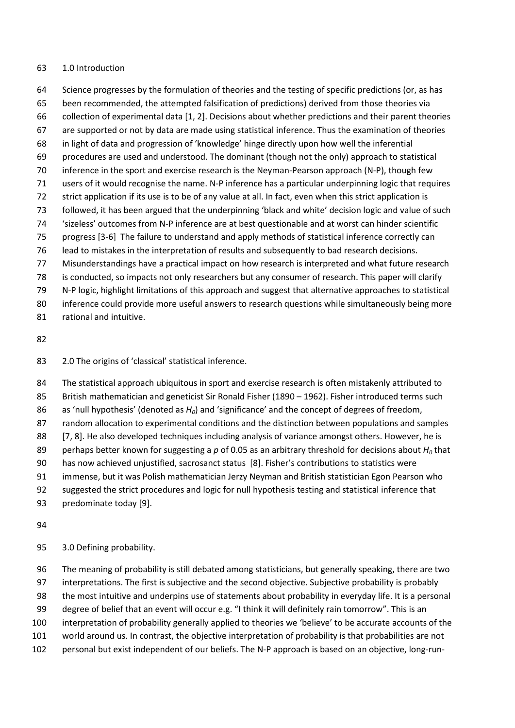## 1.0 Introduction

 Science progresses by the formulation of theories and the testing of specific predictions (or, as has been recommended, the attempted falsification of predictions) derived from those theories via collection of experimental data [1, 2]. Decisions about whether predictions and their parent theories are supported or not by data are made using statistical inference. Thus the examination of theories in light of data and progression of 'knowledge' hinge directly upon how well the inferential procedures are used and understood. The dominant (though not the only) approach to statistical inference in the sport and exercise research is the Neyman-Pearson approach (N-P), though few users of it would recognise the name. N-P inference has a particular underpinning logic that requires strict application if its use is to be of any value at all. In fact, even when this strict application is followed, it has been argued that the underpinning 'black and white' decision logic and value of such 'sizeless' outcomes from N-P inference are at best questionable and at worst can hinder scientific progress [3-6] The failure to understand and apply methods of statistical inference correctly can lead to mistakes in the interpretation of results and subsequently to bad research decisions. Misunderstandings have a practical impact on how research is interpreted and what future research is conducted, so impacts not only researchers but any consumer of research. This paper will clarify N-P logic, highlight limitations of this approach and suggest that alternative approaches to statistical

- inference could provide more useful answers to research questions while simultaneously being more
- rational and intuitive.

#### 

2.0 The origins of 'classical' statistical inference.

 The statistical approach ubiquitous in sport and exercise research is often mistakenly attributed to 85 British mathematician and geneticist Sir Ronald Fisher (1890 – 1962). Fisher introduced terms such as 'null hypothesis' (denoted as *H0*) and 'significance' and the concept of degrees of freedom, random allocation to experimental conditions and the distinction between populations and samples 88 [7, 8]. He also developed techniques including analysis of variance amongst others. However, he is perhaps better known for suggesting a *p* of 0.05 as an arbitrary threshold for decisions about *H<sup>0</sup>* that has now achieved unjustified, sacrosanct status [8]. Fisher's contributions to statistics were immense, but it was Polish mathematician Jerzy Neyman and British statistician Egon Pearson who suggested the strict procedures and logic for null hypothesis testing and statistical inference that predominate today [9].

### 

3.0 Defining probability.

 The meaning of probability is still debated among statisticians, but generally speaking, there are two interpretations. The first is subjective and the second objective. Subjective probability is probably the most intuitive and underpins use of statements about probability in everyday life. It is a personal degree of belief that an event will occur e.g. "I think it will definitely rain tomorrow". This is an interpretation of probability generally applied to theories we 'believe' to be accurate accounts of the world around us. In contrast, the objective interpretation of probability is that probabilities are not personal but exist independent of our beliefs. The N-P approach is based on an objective, long-run-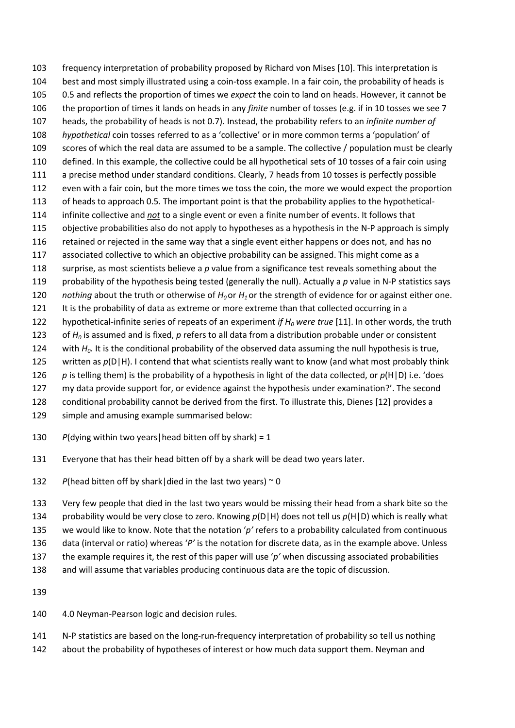frequency interpretation of probability proposed by Richard von Mises [10]. This interpretation is best and most simply illustrated using a coin-toss example. In a fair coin, the probability of heads is 0.5 and reflects the proportion of times we *expect* the coin to land on heads. However, it cannot be the proportion of times it lands on heads in any *finite* number of tosses (e.g. if in 10 tosses we see 7 heads, the probability of heads is not 0.7). Instead, the probability refers to an *infinite number of hypothetical* coin tosses referred to as a 'collective' or in more common terms a 'population' of scores of which the real data are assumed to be a sample. The collective / population must be clearly defined. In this example, the collective could be all hypothetical sets of 10 tosses of a fair coin using 111 a precise method under standard conditions. Clearly, 7 heads from 10 tosses is perfectly possible even with a fair coin, but the more times we toss the coin, the more we would expect the proportion of heads to approach 0.5. The important point is that the probability applies to the hypothetical- infinite collective and *not* to a single event or even a finite number of events. It follows that objective probabilities also do not apply to hypotheses as a hypothesis in the N-P approach is simply 116 retained or rejected in the same way that a single event either happens or does not, and has no associated collective to which an objective probability can be assigned. This might come as a surprise, as most scientists believe a *p* value from a significance test reveals something about the probability of the hypothesis being tested (generally the null). Actually a *p* value in N-P statistics says *nothing* about the truth or otherwise of *H0* or *H1* or the strength of evidence for or against either one. It is the probability of data as extreme or more extreme than that collected occurring in a hypothetical-infinite series of repeats of an experiment *if H<sup>0</sup> were true* [11]. In other words, the truth of *H<sup>0</sup>* is assumed and is fixed, *p* refers to all data from a distribution probable under or consistent with *H0*. It is the conditional probability of the observed data assuming the null hypothesis is true, 125 written as  $p(D|H)$ . I contend that what scientists really want to know (and what most probably think *p* is telling them) is the probability of a hypothesis in light of the data collected, or  $p(H|D)$  i.e. 'does my data provide support for, or evidence against the hypothesis under examination?'. The second conditional probability cannot be derived from the first. To illustrate this, Dienes [12] provides a simple and amusing example summarised below:

- *P*(dying within two years|head bitten off by shark) = 1
- Everyone that has their head bitten off by a shark will be dead two years later.
- 132 *P*(head bitten off by shark|died in the last two years)  $\sim$  0

 Very few people that died in the last two years would be missing their head from a shark bite so the probability would be very close to zero. Knowing *p*(D|H) does not tell us *p*(H|D) which is really what we would like to know. Note that the notation '*p'* refers to a probability calculated from continuous data (interval or ratio) whereas '*P'* is the notation for discrete data, as in the example above. Unless the example requires it, the rest of this paper will use '*p'* when discussing associated probabilities

- and will assume that variables producing continuous data are the topic of discussion.
- 
- 4.0 Neyman-Pearson logic and decision rules.
- N-P statistics are based on the long-run-frequency interpretation of probability so tell us nothing
- 142 about the probability of hypotheses of interest or how much data support them. Neyman and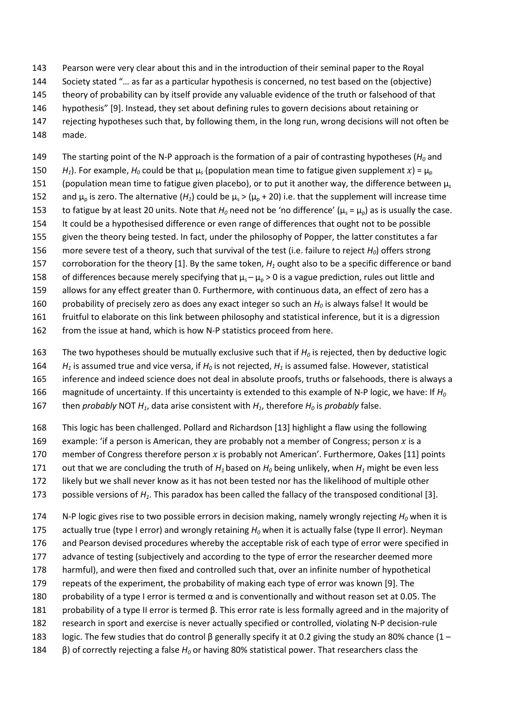Pearson were very clear about this and in the introduction of their seminal paper to the Royal Society stated "… as far as a particular hypothesis is concerned, no test based on the (objective) theory of probability can by itself provide any valuable evidence of the truth or falsehood of that hypothesis" [9]. Instead, they set about defining rules to govern decisions about retaining or

- rejecting hypotheses such that, by following them, in the long run, wrong decisions will not often be made.
- The starting point of the N-P approach is the formation of a pair of contrasting hypotheses (*H<sup>0</sup>* and 150 *H<sub>1</sub>*). For example,  $H_0$  could be that  $\mu_s$  (population mean time to fatigue given supplement x) =  $\mu_p$
- 151 (population mean time to fatigue given placebo), or to put it another way, the difference between  $\mu_s$
- 152 and  $\mu_p$  is zero. The alternative ( $H_1$ ) could be  $\mu_s > (\mu_p + 20)$  i.e. that the supplement will increase time
- 153 to fatigue by at least 20 units. Note that  $H_0$  need not be 'no difference' ( $\mu_s = \mu_p$ ) as is usually the case.
- It could be a hypothesised difference or even range of differences that ought not to be possible given the theory being tested. In fact, under the philosophy of Popper, the latter constitutes a far
- more severe test of a theory, such that survival of the test (i.e. failure to reject *H0*) offers strong
- corroboration for the theory [1]. By the same token, *H<sup>1</sup>* ought also to be a specific difference or band
- 158 of differences because merely specifying that  $\mu_s \mu_p > 0$  is a vague prediction, rules out little and
- allows for any effect greater than 0. Furthermore, with continuous data, an effect of zero has a
- probability of precisely zero as does any exact integer so such an *H<sup>0</sup>* is always false! It would be
- fruitful to elaborate on this link between philosophy and statistical inference, but it is a digression
- 162 from the issue at hand, which is how N-P statistics proceed from here.
- The two hypotheses should be mutually exclusive such that if *H<sup>0</sup>* is rejected, then by deductive logic
- *H<sup>1</sup>* is assumed true and vice versa, if *H<sup>0</sup>* is not rejected, *H<sup>1</sup>* is assumed false. However, statistical
- inference and indeed science does not deal in absolute proofs, truths or falsehoods, there is always a
- magnitude of uncertainty. If this uncertainty is extended to this example of N-P logic, we have: If *H<sup>0</sup>*
- then *probably* NOT *H1*, data arise consistent with *H1*, therefore *H<sup>0</sup>* is *probably* false.
- This logic has been challenged. Pollard and Richardson [13] highlight a flaw using the following
- 169 example: 'if a person is American, they are probably not a member of Congress; person  $x$  is a
- 170 member of Congress therefore person  $x$  is probably not American'. Furthermore, Oakes [11] points
- 171 out that we are concluding the truth of  $H_1$  based on  $H_0$  being unlikely, when  $H_1$  might be even less
- likely but we shall never know as it has not been tested nor has the likelihood of multiple other
- possible versions of *H1*. This paradox has been called the fallacy of the transposed conditional [3].
- N-P logic gives rise to two possible errors in decision making, namely wrongly rejecting *H<sup>0</sup>* when it is
- actually true (type I error) and wrongly retaining *H<sup>0</sup>* when it is actually false (type II error). Neyman
- and Pearson devised procedures whereby the acceptable risk of each type of error were specified in
- advance of testing (subjectively and according to the type of error the researcher deemed more
- harmful), and were then fixed and controlled such that, over an infinite number of hypothetical
- repeats of the experiment, the probability of making each type of error was known [9]. The
- probability of a type I error is termed α and is conventionally and without reason set at 0.05. The
- probability of a type II error is termed β. This error rate is less formally agreed and in the majority of
- research in sport and exercise is never actually specified or controlled, violating N-P decision-rule
- logic. The few studies that do control β generally specify it at 0.2 giving the study an 80% chance (1 –
- β) of correctly rejecting a false *H<sup>0</sup>* or having 80% statistical power. That researchers class the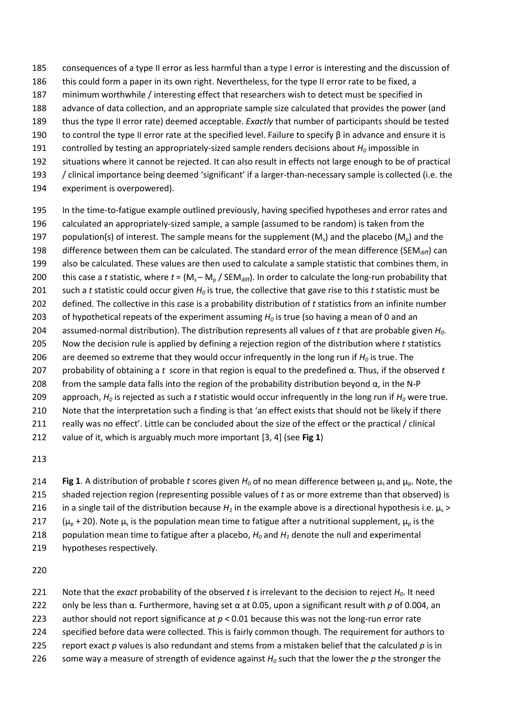- consequences of a type II error as less harmful than a type I error is interesting and the discussion of
- 186 this could form a paper in its own right. Nevertheless, for the type II error rate to be fixed, a
- minimum worthwhile / interesting effect that researchers wish to detect must be specified in
- advance of data collection, and an appropriate sample size calculated that provides the power (and
- thus the type II error rate) deemed acceptable. *Exactly* that number of participants should be tested
- 190 to control the type II error rate at the specified level. Failure to specify  $\beta$  in advance and ensure it is
- 191 controlled by testing an appropriately-sized sample renders decisions about  $H_0$  impossible in
- situations where it cannot be rejected. It can also result in effects not large enough to be of practical / clinical importance being deemed 'significant' if a larger-than-necessary sample is collected (i.e. the
- experiment is overpowered).
- In the time-to-fatigue example outlined previously, having specified hypotheses and error rates and
- calculated an appropriately-sized sample, a sample (assumed to be random) is taken from the
- 197 population(s) of interest. The sample means for the supplement (M<sub>s</sub>) and the placebo (M<sub>n</sub>) and the 198 difference between them can be calculated. The standard error of the mean difference (SEM<sub>diff</sub>) can
- also be calculated. These values are then used to calculate a sample statistic that combines them, in
- 200 this case a *t* statistic, where  $t = (M_s M_p / SEM_{diff})$ . In order to calculate the long-run probability that
- such a *t* statistic could occur given *H<sup>0</sup>* is true, the collective that gave rise to this *t* statistic must be
- defined. The collective in this case is a probability distribution of *t* statistics from an infinite number
- of hypothetical repeats of the experiment assuming *H<sup>0</sup>* is true (so having a mean of 0 and an
- assumed-normal distribution). The distribution represents all values of *t* that are probable given *H0*. Now the decision rule is applied by defining a rejection region of the distribution where *t* statistics
- 206 are deemed so extreme that they would occur infrequently in the long run if  $H_0$  is true. The
- probability of obtaining a *t* score in that region is equal to the predefined α. Thus, if the observed *t*
- 208 from the sample data falls into the region of the probability distribution beyond  $α$ , in the N-P
- 209 approach,  $H_0$  is rejected as such a *t* statistic would occur infrequently in the long run if  $H_0$  were true.
- Note that the interpretation such a finding is that 'an effect exists that should not be likely if there
- really was no effect'. Little can be concluded about the size of the effect or the practical / clinical
- value of it, which is arguably much more important [3, 4] (see **Fig 1**)
- 
- **214 <b>Fig 1**. A distribution of probable *t* scores given  $H_0$  of no mean difference between μ<sub>s</sub> and μ<sub>p</sub>. Note, the shaded rejection region (representing possible values of *t* as or more extreme than that observed) is 216 in a single tail of the distribution because  $H_1$  in the example above is a directional hypothesis i.e.  $\mu_s$  > 217  $(\mu_p + 20)$ . Note  $\mu_s$  is the population mean time to fatigue after a nutritional supplement,  $\mu_p$  is the 218 population mean time to fatigue after a placebo,  $H_0$  and  $H_1$  denote the null and experimental hypotheses respectively.

- Note that the *exact* probability of the observed *t* is irrelevant to the decision to reject *H0*. It need
- only be less than α. Furthermore, having set α at 0.05, upon a significant result with *p* of 0.004, an
- author should not report significance at *p* < 0.01 because this was not the long-run error rate
- specified before data were collected. This is fairly common though. The requirement for authors to
- report exact *p* values is also redundant and stems from a mistaken belief that the calculated *p* is in
- some way a measure of strength of evidence against *H<sup>0</sup>* such that the lower the *p* the stronger the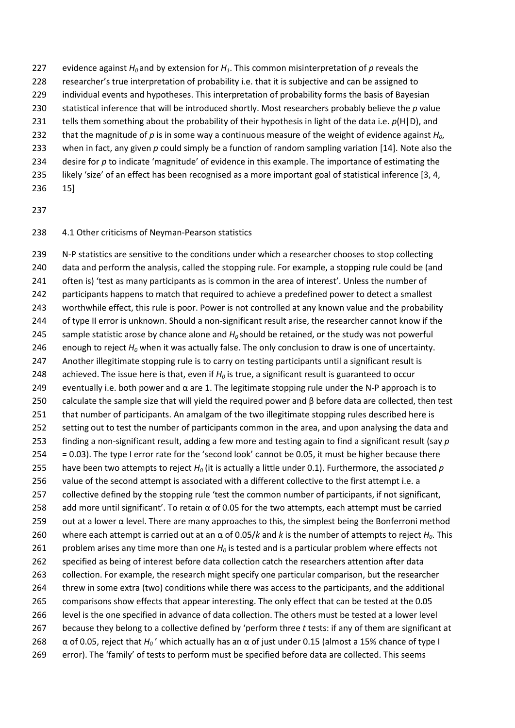- 227 evidence against  $H_0$  and by extension for  $H_1$ . This common misinterpretation of p reveals the 228 researcher's true interpretation of probability i.e. that it is subjective and can be assigned to individual events and hypotheses. This interpretation of probability forms the basis of Bayesian statistical inference that will be introduced shortly. Most researchers probably believe the *p* value 231 tells them something about the probability of their hypothesis in light of the data i.e.  $p(H|D)$ , and that the magnitude of *p* is in some way a continuous measure of the weight of evidence against *H0*,
- when in fact, any given *p* could simply be a function of random sampling variation [14]. Note also the
- desire for *p* to indicate 'magnitude' of evidence in this example. The importance of estimating the
- 235 likely 'size' of an effect has been recognised as a more important goal of statistical inference [3, 4,
- 15]
- 

## 4.1 Other criticisms of Neyman-Pearson statistics

 N-P statistics are sensitive to the conditions under which a researcher chooses to stop collecting data and perform the analysis, called the stopping rule. For example, a stopping rule could be (and 241 often is) 'test as many participants as is common in the area of interest'. Unless the number of 242 participants happens to match that required to achieve a predefined power to detect a smallest worthwhile effect, this rule is poor. Power is not controlled at any known value and the probability 244 of type II error is unknown. Should a non-significant result arise, the researcher cannot know if the sample statistic arose by chance alone and *H0* should be retained, or the study was not powerful enough to reject *H<sup>0</sup>* when it was actually false. The only conclusion to draw is one of uncertainty. Another illegitimate stopping rule is to carry on testing participants until a significant result is achieved. The issue here is that, even if *H<sup>0</sup>* is true, a significant result is guaranteed to occur 249 eventually i.e. both power and  $\alpha$  are 1. The legitimate stopping rule under the N-P approach is to calculate the sample size that will yield the required power and β before data are collected, then test 251 that number of participants. An amalgam of the two illegitimate stopping rules described here is setting out to test the number of participants common in the area, and upon analysing the data and finding a non-significant result, adding a few more and testing again to find a significant result (say *p* = 0.03). The type I error rate for the 'second look' cannot be 0.05, it must be higher because there have been two attempts to reject *H<sup>0</sup>* (it is actually a little under 0.1). Furthermore, the associated *p* value of the second attempt is associated with a different collective to the first attempt i.e. a collective defined by the stopping rule 'test the common number of participants, if not significant, 258 add more until significant'. To retain  $\alpha$  of 0.05 for the two attempts, each attempt must be carried 259 out at a lower  $\alpha$  level. There are many approaches to this, the simplest being the Bonferroni method where each attempt is carried out at an α of 0.05/*k* and *k* is the number of attempts to reject *H0*. This problem arises any time more than one *H<sup>0</sup>* is tested and is a particular problem where effects not specified as being of interest before data collection catch the researchers attention after data collection. For example, the research might specify one particular comparison, but the researcher threw in some extra (two) conditions while there was access to the participants, and the additional comparisons show effects that appear interesting. The only effect that can be tested at the 0.05 level is the one specified in advance of data collection. The others must be tested at a lower level because they belong to a collective defined by 'perform three *t* tests: if any of them are significant at  $\alpha$  of 0.05, reject that  $H_0'$  which actually has an  $\alpha$  of just under 0.15 (almost a 15% chance of type I error). The 'family' of tests to perform must be specified before data are collected. This seems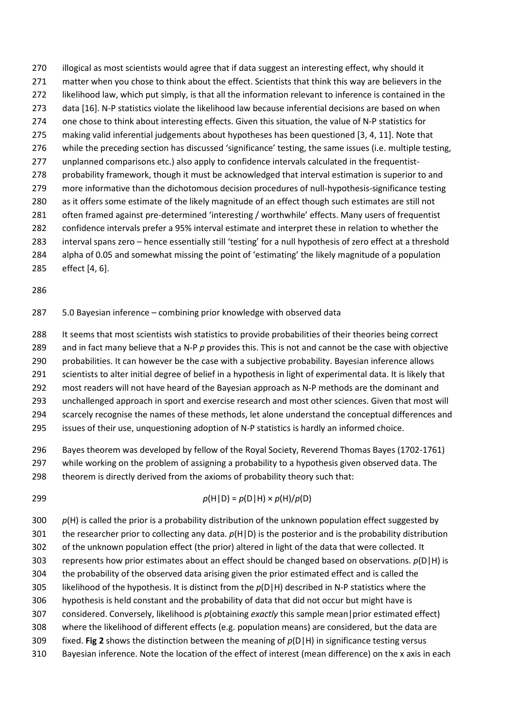270 illogical as most scientists would agree that if data suggest an interesting effect, why should it 271 matter when you chose to think about the effect. Scientists that think this way are believers in the likelihood law, which put simply, is that all the information relevant to inference is contained in the data [16]. N-P statistics violate the likelihood law because inferential decisions are based on when one chose to think about interesting effects. Given this situation, the value of N-P statistics for making valid inferential judgements about hypotheses has been questioned [3, 4, 11]. Note that while the preceding section has discussed 'significance' testing, the same issues (i.e. multiple testing, unplanned comparisons etc.) also apply to confidence intervals calculated in the frequentist-278 probability framework, though it must be acknowledged that interval estimation is superior to and more informative than the dichotomous decision procedures of null-hypothesis-significance testing as it offers some estimate of the likely magnitude of an effect though such estimates are still not often framed against pre-determined 'interesting / worthwhile' effects. Many users of frequentist confidence intervals prefer a 95% interval estimate and interpret these in relation to whether the interval spans zero – hence essentially still 'testing' for a null hypothesis of zero effect at a threshold alpha of 0.05 and somewhat missing the point of 'estimating' the likely magnitude of a population

effect [4, 6].

#### 5.0 Bayesian inference – combining prior knowledge with observed data

288 It seems that most scientists wish statistics to provide probabilities of their theories being correct and in fact many believe that a N-P *p* provides this. This is not and cannot be the case with objective

probabilities. It can however be the case with a subjective probability. Bayesian inference allows

scientists to alter initial degree of belief in a hypothesis in light of experimental data. It is likely that

most readers will not have heard of the Bayesian approach as N-P methods are the dominant and

 unchallenged approach in sport and exercise research and most other sciences. Given that most will scarcely recognise the names of these methods, let alone understand the conceptual differences and

issues of their use, unquestioning adoption of N-P statistics is hardly an informed choice.

 Bayes theorem was developed by fellow of the Royal Society, Reverend Thomas Bayes (1702-1761) 297 while working on the problem of assigning a probability to a hypothesis given observed data. The

298 theorem is directly derived from the axioms of probability theory such that:

299 *p*(H|D) =  $p(D|H) \times p(H)/p(D)$ 

300 p(H) is called the prior is a probability distribution of the unknown population effect suggested by the researcher prior to collecting any data. *p*(H|D) is the posterior and is the probability distribution of the unknown population effect (the prior) altered in light of the data that were collected. It represents how prior estimates about an effect should be changed based on observations. *p*(D|H) is the probability of the observed data arising given the prior estimated effect and is called the likelihood of the hypothesis. It is distinct from the *p*(D|H) described in N-P statistics where the hypothesis is held constant and the probability of data that did not occur but might have is considered. Conversely, likelihood is *p*(obtaining *exactly* this sample mean|prior estimated effect) where the likelihood of different effects (e.g. population means) are considered, but the data are fixed. **Fig 2** shows the distinction between the meaning of *p*(D|H) in significance testing versus Bayesian inference. Note the location of the effect of interest (mean difference) on the x axis in each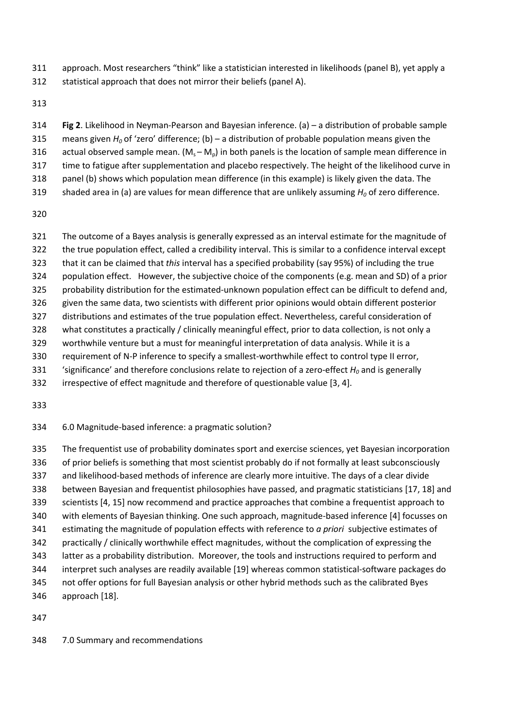- approach. Most researchers "think" like a statistician interested in likelihoods (panel B), yet apply a
- statistical approach that does not mirror their beliefs (panel A).

- **Fig 2**. Likelihood in Neyman-Pearson and Bayesian inference. (a) a distribution of probable sample means given *H<sup>0</sup>* of 'zero' difference; (b) – a distribution of probable population means given the 316 actual observed sample mean.  $(M_s - M_p)$  in both panels is the location of sample mean difference in time to fatigue after supplementation and placebo respectively. The height of the likelihood curve in panel (b) shows which population mean difference (in this example) is likely given the data. The
- shaded area in (a) are values for mean difference that are unlikely assuming *H<sup>0</sup>* of zero difference.

 The outcome of a Bayes analysis is generally expressed as an interval estimate for the magnitude of the true population effect, called a credibility interval. This is similar to a confidence interval except that it can be claimed that *this* interval has a specified probability (say 95%) of including the true population effect. However, the subjective choice of the components (e.g. mean and SD) of a prior probability distribution for the estimated-unknown population effect can be difficult to defend and, given the same data, two scientists with different prior opinions would obtain different posterior distributions and estimates of the true population effect. Nevertheless, careful consideration of what constitutes a practically / clinically meaningful effect, prior to data collection, is not only a worthwhile venture but a must for meaningful interpretation of data analysis. While it is a requirement of N-P inference to specify a smallest-worthwhile effect to control type II error, 331 'significance' and therefore conclusions relate to rejection of a zero-effect  $H_0$  and is generally irrespective of effect magnitude and therefore of questionable value [3, 4].

## 6.0 Magnitude-based inference: a pragmatic solution?

 The frequentist use of probability dominates sport and exercise sciences, yet Bayesian incorporation 336 of prior beliefs is something that most scientist probably do if not formally at least subconsciously and likelihood-based methods of inference are clearly more intuitive. The days of a clear divide between Bayesian and frequentist philosophies have passed, and pragmatic statisticians [17, 18] and scientists [4, 15] now recommend and practice approaches that combine a frequentist approach to with elements of Bayesian thinking. One such approach, magnitude-based inference [4] focusses on estimating the magnitude of population effects with reference to *a priori* subjective estimates of practically / clinically worthwhile effect magnitudes, without the complication of expressing the latter as a probability distribution. Moreover, the tools and instructions required to perform and interpret such analyses are readily available [19] whereas common statistical-software packages do not offer options for full Bayesian analysis or other hybrid methods such as the calibrated Byes approach [18].

7.0 Summary and recommendations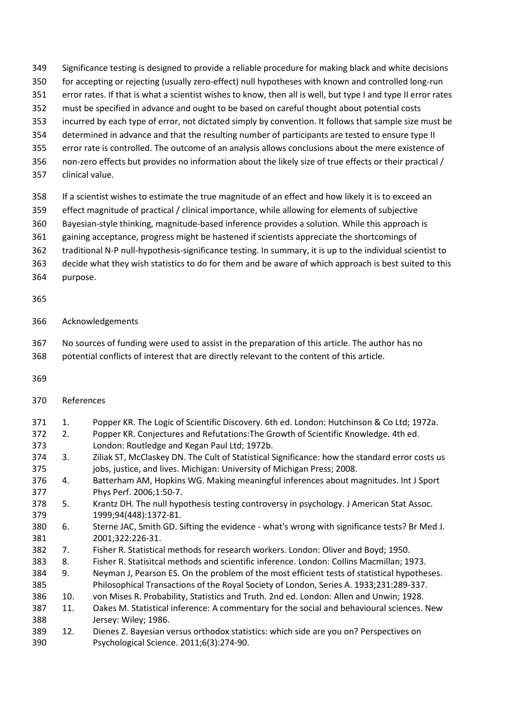- Significance testing is designed to provide a reliable procedure for making black and white decisions
- for accepting or rejecting (usually zero-effect) null hypotheses with known and controlled long-run
- 351 error rates. If that is what a scientist wishes to know, then all is well, but type I and type II error rates
- must be specified in advance and ought to be based on careful thought about potential costs
- incurred by each type of error, not dictated simply by convention. It follows that sample size must be
- determined in advance and that the resulting number of participants are tested to ensure type II
- error rate is controlled. The outcome of an analysis allows conclusions about the mere existence of
- non-zero effects but provides no information about the likely size of true effects or their practical /
- clinical value.
- If a scientist wishes to estimate the true magnitude of an effect and how likely it is to exceed an
- effect magnitude of practical / clinical importance, while allowing for elements of subjective
- Bayesian-style thinking, magnitude-based inference provides a solution. While this approach is
- gaining acceptance, progress might be hastened if scientists appreciate the shortcomings of
- traditional N-P null-hypothesis-significance testing. In summary, it is up to the individual scientist to
- decide what they wish statistics to do for them and be aware of which approach is best suited to this
- purpose.

## 

- Acknowledgements
- No sources of funding were used to assist in the preparation of this article. The author has no
- potential conflicts of interest that are directly relevant to the content of this article.
- 

# References

- 1. Popper KR. The Logic of Scientific Discovery. 6th ed. London: Hutchinson & Co Ltd; 1972a. 2. Popper KR. Conjectures and Refutations:The Growth of Scientific Knowledge. 4th ed.
- London: Routledge and Kegan Paul Ltd; 1972b.
- 3. Ziliak ST, McClaskey DN. The Cult of Statistical Significance: how the standard error costs us jobs, justice, and lives. Michigan: University of Michigan Press; 2008.
- 4. Batterham AM, Hopkins WG. Making meaningful inferences about magnitudes. Int J Sport Phys Perf. 2006;1:50-7.
- 5. Krantz DH. The null hypothesis testing controversy in psychology. J American Stat Assoc. 1999;94(448):1372-81.
- 6. Sterne JAC, Smith GD. Sifting the evidence what's wrong with significance tests? Br Med J. 2001;322:226-31.
- 7. Fisher R. Statistical methods for research workers. London: Oliver and Boyd; 1950.
- 8. Fisher R. Statisitcal methods and scientific inference. London: Collins Macmillan; 1973.
- 9. Neyman J, Pearson ES. On the problem of the most efficient tests of statistical hypotheses. Philosophical Transactions of the Royal Society of London, Series A. 1933;231:289-337.
- 10. von Mises R. Probability, Statistics and Truth. 2nd ed. London: Allen and Unwin; 1928.
- 11. Oakes M. Statistical inference: A commentary for the social and behavioural sciences. New Jersey: Wiley; 1986.
- 12. Dienes Z. Bayesian versus orthodox statistics: which side are you on? Perspectives on Psychological Science. 2011;6(3):274-90.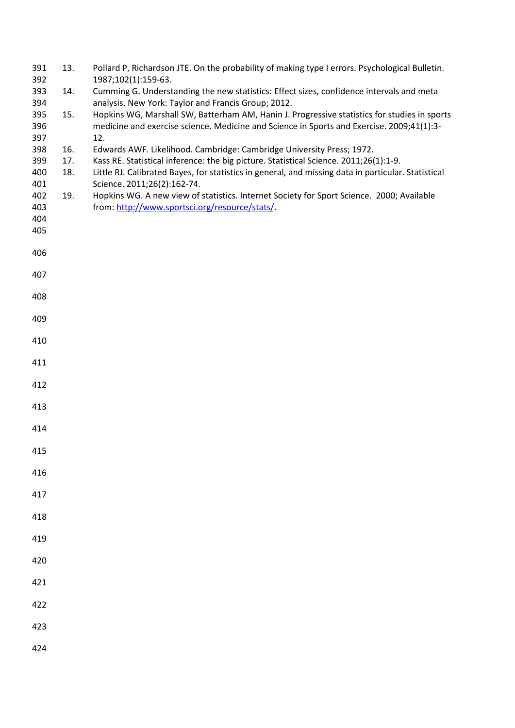| 391<br>392 | 13. | Pollard P, Richardson JTE. On the probability of making type I errors. Psychological Bulletin.<br>1987;102(1):159-63.                                                                     |
|------------|-----|-------------------------------------------------------------------------------------------------------------------------------------------------------------------------------------------|
| 393<br>394 | 14. | Cumming G. Understanding the new statistics: Effect sizes, confidence intervals and meta<br>analysis. New York: Taylor and Francis Group; 2012.                                           |
| 395<br>396 | 15. | Hopkins WG, Marshall SW, Batterham AM, Hanin J. Progressive statistics for studies in sports<br>medicine and exercise science. Medicine and Science in Sports and Exercise. 2009;41(1):3- |
| 397        |     | 12.                                                                                                                                                                                       |
| 398        | 16. | Edwards AWF. Likelihood. Cambridge: Cambridge University Press; 1972.                                                                                                                     |
| 399        | 17. | Kass RE. Statistical inference: the big picture. Statistical Science. 2011;26(1):1-9.                                                                                                     |
| 400<br>401 | 18. | Little RJ. Calibrated Bayes, for statistics in general, and missing data in particular. Statistical                                                                                       |
| 402        | 19. | Science. 2011;26(2):162-74.<br>Hopkins WG. A new view of statistics. Internet Society for Sport Science. 2000; Available                                                                  |
| 403        |     | from: http://www.sportsci.org/resource/stats/                                                                                                                                             |
| 404        |     |                                                                                                                                                                                           |
| 405        |     |                                                                                                                                                                                           |
|            |     |                                                                                                                                                                                           |
| 406        |     |                                                                                                                                                                                           |
| 407        |     |                                                                                                                                                                                           |
| 408        |     |                                                                                                                                                                                           |
| 409        |     |                                                                                                                                                                                           |
| 410        |     |                                                                                                                                                                                           |
| 411        |     |                                                                                                                                                                                           |
| 412        |     |                                                                                                                                                                                           |
| 413        |     |                                                                                                                                                                                           |
| 414        |     |                                                                                                                                                                                           |
| 415        |     |                                                                                                                                                                                           |
| 416        |     |                                                                                                                                                                                           |
| 417        |     |                                                                                                                                                                                           |
| 418        |     |                                                                                                                                                                                           |
| 419        |     |                                                                                                                                                                                           |
| 420        |     |                                                                                                                                                                                           |
| 421        |     |                                                                                                                                                                                           |
| 422        |     |                                                                                                                                                                                           |
| 423        |     |                                                                                                                                                                                           |
| 424        |     |                                                                                                                                                                                           |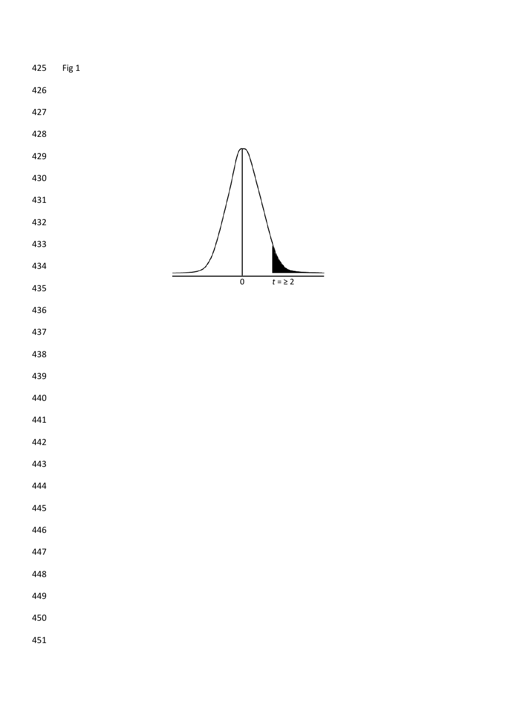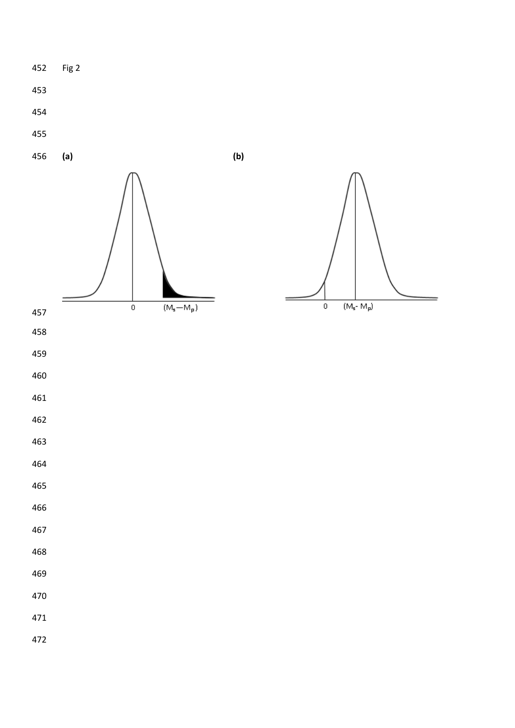